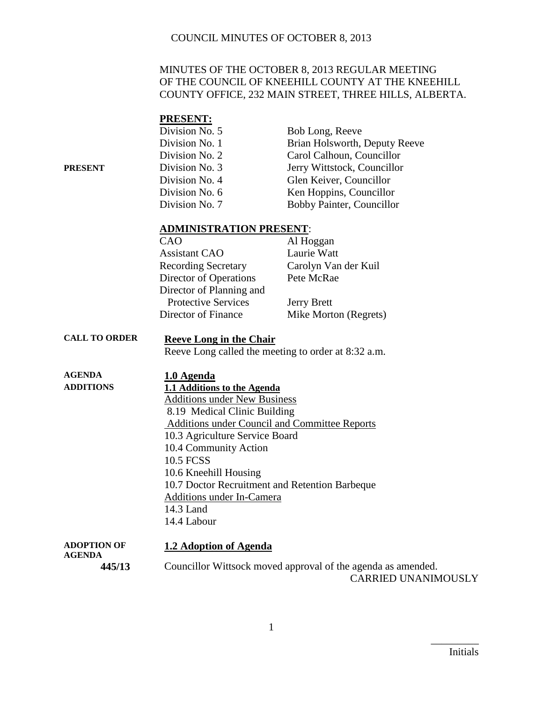#### MINUTES OF THE OCTOBER 8, 2013 REGULAR MEETING OF THE COUNCIL OF KNEEHILL COUNTY AT THE KNEEHILL COUNTY OFFICE, 232 MAIN STREET, THREE HILLS, ALBERTA.

|         | <b>PRESENT:</b> |                               |
|---------|-----------------|-------------------------------|
|         | Division No. 5  | Bob Long, Reeve               |
|         | Division No. 1  | Brian Holsworth, Deputy Reeve |
|         | Division No. 2  | Carol Calhoun, Councillor     |
| PRESENT | Division No. 3  | Jerry Wittstock, Councillor   |
|         | Division No. 4  | Glen Keiver, Councillor       |
|         | Division No. 6  | Ken Hoppins, Councillor       |
|         | Division No. 7  | Bobby Painter, Councillor     |
|         |                 |                               |

#### **ADMINISTRATION PRESENT**:

| CAO                        | Al Hoggan             |
|----------------------------|-----------------------|
| <b>Assistant CAO</b>       | Laurie Watt           |
| <b>Recording Secretary</b> | Carolyn Van der Kuil  |
| Director of Operations     | Pete McRae            |
| Director of Planning and   |                       |
| <b>Protective Services</b> | <b>Jerry Brett</b>    |
| Director of Finance        | Mike Morton (Regrets) |

#### **CALL TO ORDER Reeve Long in the Chair**

Reeve Long called the meeting to order at 8:32 a.m.

| <b>AGENDA</b>    | 1.0 Agenda                                           |
|------------------|------------------------------------------------------|
| <b>ADDITIONS</b> | 1.1 Additions to the Agenda                          |
|                  | <b>Additions under New Business</b>                  |
|                  | 8.19 Medical Clinic Building                         |
|                  | <b>Additions under Council and Committee Reports</b> |
|                  | 10.3 Agriculture Service Board                       |
|                  | 10.4 Community Action                                |
|                  | <b>10.5 FCSS</b>                                     |
|                  | 10.6 Kneehill Housing                                |
|                  | 10.7 Doctor Recruitment and Retention Barbeque       |
|                  | <b>Additions under In-Camera</b>                     |
|                  | 14.3 Land                                            |
|                  | 14.4 Labour                                          |
| ADOPTION OF      | 1.2 Adoption of Agenda                               |

**AGENDA 445/13** Councillor Wittsock moved approval of the agenda as amended. CARRIED UNANIMOUSLY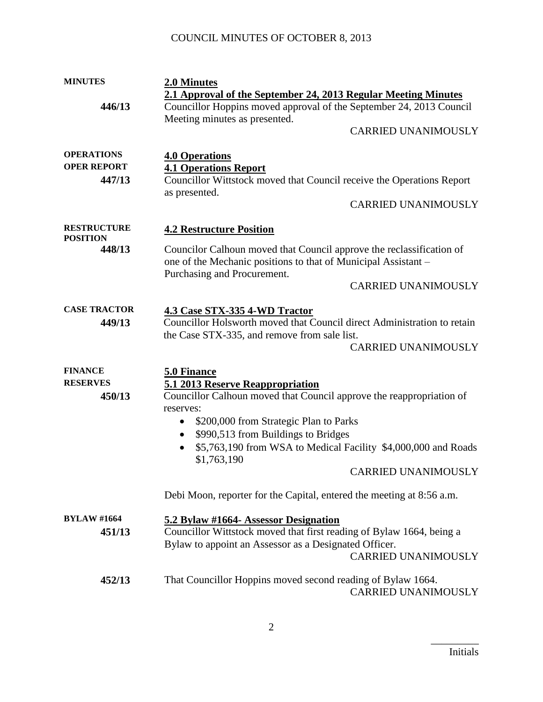| <b>MINUTES</b>      | 2.0 Minutes                                                                 |  |
|---------------------|-----------------------------------------------------------------------------|--|
|                     | 2.1 Approval of the September 24, 2013 Regular Meeting Minutes              |  |
| 446/13              | Councillor Hoppins moved approval of the September 24, 2013 Council         |  |
|                     | Meeting minutes as presented.                                               |  |
|                     | <b>CARRIED UNANIMOUSLY</b>                                                  |  |
|                     |                                                                             |  |
| <b>OPERATIONS</b>   | <b>4.0 Operations</b>                                                       |  |
| <b>OPER REPORT</b>  | <b>4.1 Operations Report</b>                                                |  |
| 447/13              | Councillor Wittstock moved that Council receive the Operations Report       |  |
|                     | as presented.                                                               |  |
|                     | <b>CARRIED UNANIMOUSLY</b>                                                  |  |
|                     |                                                                             |  |
| <b>RESTRUCTURE</b>  | <b>4.2 Restructure Position</b>                                             |  |
| <b>POSITION</b>     |                                                                             |  |
| 448/13              | Councilor Calhoun moved that Council approve the reclassification of        |  |
|                     | one of the Mechanic positions to that of Municipal Assistant -              |  |
|                     | Purchasing and Procurement.                                                 |  |
|                     | <b>CARRIED UNANIMOUSLY</b>                                                  |  |
|                     |                                                                             |  |
| <b>CASE TRACTOR</b> | <b>4.3 Case STX-335 4-WD Tractor</b>                                        |  |
| 449/13              | Councillor Holsworth moved that Council direct Administration to retain     |  |
|                     | the Case STX-335, and remove from sale list.                                |  |
|                     | <b>CARRIED UNANIMOUSLY</b>                                                  |  |
| <b>FINANCE</b>      |                                                                             |  |
| <b>RESERVES</b>     | 5.0 Finance                                                                 |  |
| 450/13              | 5.1 2013 Reserve Reappropriation                                            |  |
|                     | Councillor Calhoun moved that Council approve the reappropriation of        |  |
|                     | reserves:                                                                   |  |
|                     | \$200,000 from Strategic Plan to Parks<br>$\bullet$                         |  |
|                     | \$990,513 from Buildings to Bridges<br>$\bullet$                            |  |
|                     | \$5,763,190 from WSA to Medical Facility \$4,000,000 and Roads<br>$\bullet$ |  |
|                     | \$1,763,190                                                                 |  |
|                     | <b>CARRIED UNANIMOUSLY</b>                                                  |  |
|                     |                                                                             |  |
|                     | Debi Moon, reporter for the Capital, entered the meeting at 8:56 a.m.       |  |
| <b>BYLAW #1664</b>  | 5.2 Bylaw #1664- Assessor Designation                                       |  |
| 451/13              | Councillor Wittstock moved that first reading of Bylaw 1664, being a        |  |
|                     | Bylaw to appoint an Assessor as a Designated Officer.                       |  |
|                     | <b>CARRIED UNANIMOUSLY</b>                                                  |  |
|                     |                                                                             |  |
| 452/13              | That Councillor Hoppins moved second reading of Bylaw 1664.                 |  |
|                     | <b>CARRIED UNANIMOUSLY</b>                                                  |  |
|                     |                                                                             |  |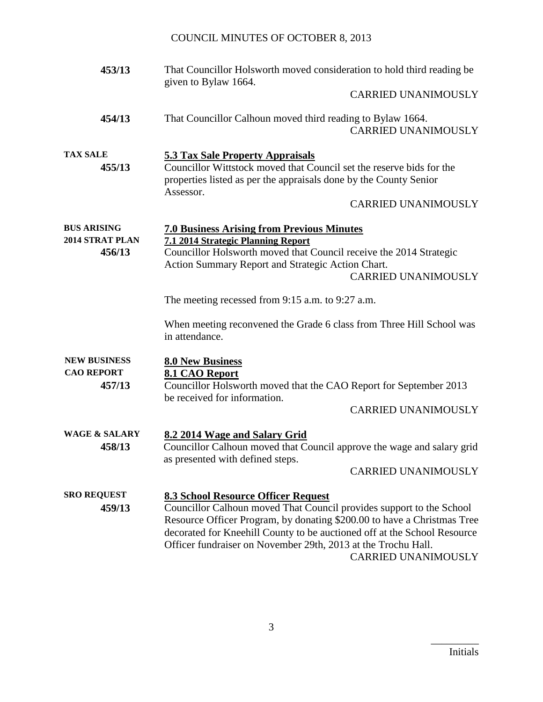| 453/13                                             | That Councillor Holsworth moved consideration to hold third reading be<br>given to Bylaw 1664.                                                                                                                                                                                                                                                                    |
|----------------------------------------------------|-------------------------------------------------------------------------------------------------------------------------------------------------------------------------------------------------------------------------------------------------------------------------------------------------------------------------------------------------------------------|
|                                                    | <b>CARRIED UNANIMOUSLY</b>                                                                                                                                                                                                                                                                                                                                        |
| 454/13                                             | That Councillor Calhoun moved third reading to Bylaw 1664.<br><b>CARRIED UNANIMOUSLY</b>                                                                                                                                                                                                                                                                          |
| <b>TAX SALE</b><br>455/13                          | <b>5.3 Tax Sale Property Appraisals</b><br>Councillor Wittstock moved that Council set the reserve bids for the<br>properties listed as per the appraisals done by the County Senior<br>Assessor.<br><b>CARRIED UNANIMOUSLY</b>                                                                                                                                   |
| <b>BUS ARISING</b><br>2014 STRAT PLAN<br>456/13    | <b>7.0 Business Arising from Previous Minutes</b><br>7.1 2014 Strategic Planning Report<br>Councillor Holsworth moved that Council receive the 2014 Strategic<br>Action Summary Report and Strategic Action Chart.<br><b>CARRIED UNANIMOUSLY</b>                                                                                                                  |
|                                                    | The meeting recessed from 9:15 a.m. to 9:27 a.m.                                                                                                                                                                                                                                                                                                                  |
|                                                    | When meeting reconvened the Grade 6 class from Three Hill School was<br>in attendance.                                                                                                                                                                                                                                                                            |
| <b>NEW BUSINESS</b><br><b>CAO REPORT</b><br>457/13 | <b>8.0 New Business</b><br>8.1 CAO Report<br>Councillor Holsworth moved that the CAO Report for September 2013<br>be received for information.<br><b>CARRIED UNANIMOUSLY</b>                                                                                                                                                                                      |
| <b>WAGE &amp; SALARY</b><br>458/13                 | 8.2 2014 Wage and Salary Grid<br>Councillor Calhoun moved that Council approve the wage and salary grid<br>as presented with defined steps.<br>CARRIED UNANIMOUSLY                                                                                                                                                                                                |
| <b>SRO REQUEST</b><br>459/13                       | 8.3 School Resource Officer Request<br>Councillor Calhoun moved That Council provides support to the School<br>Resource Officer Program, by donating \$200.00 to have a Christmas Tree<br>decorated for Kneehill County to be auctioned off at the School Resource<br>Officer fundraiser on November 29th, 2013 at the Trochu Hall.<br><b>CARRIED UNANIMOUSLY</b> |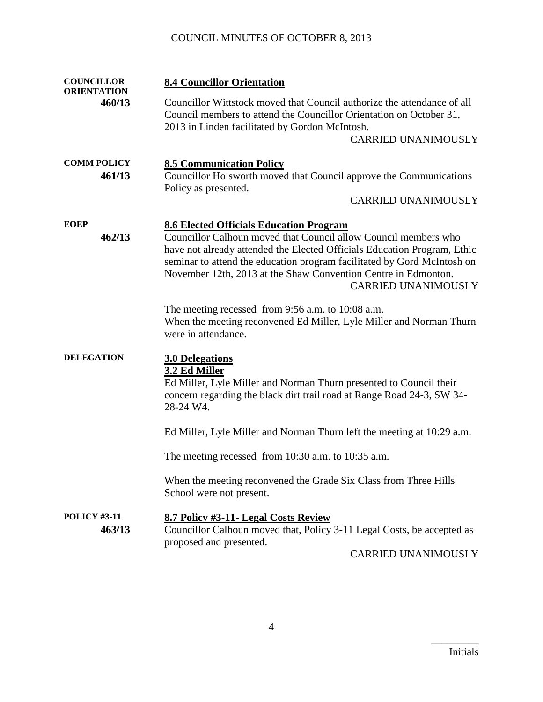| <b>COUNCILLOR</b><br><b>ORIENTATION</b> | <b>8.4 Councillor Orientation</b>                                                                                                                                                                                                                                                                                      |  |
|-----------------------------------------|------------------------------------------------------------------------------------------------------------------------------------------------------------------------------------------------------------------------------------------------------------------------------------------------------------------------|--|
| 460/13                                  | Councillor Wittstock moved that Council authorize the attendance of all<br>Council members to attend the Councillor Orientation on October 31,<br>2013 in Linden facilitated by Gordon McIntosh.                                                                                                                       |  |
|                                         | <b>CARRIED UNANIMOUSLY</b>                                                                                                                                                                                                                                                                                             |  |
| <b>COMM POLICY</b>                      | <b>8.5 Communication Policy</b>                                                                                                                                                                                                                                                                                        |  |
| 461/13                                  | Councillor Holsworth moved that Council approve the Communications                                                                                                                                                                                                                                                     |  |
|                                         | Policy as presented.<br><b>CARRIED UNANIMOUSLY</b>                                                                                                                                                                                                                                                                     |  |
| <b>EOEP</b>                             | <b>8.6 Elected Officials Education Program</b>                                                                                                                                                                                                                                                                         |  |
| 462/13                                  | Councillor Calhoun moved that Council allow Council members who<br>have not already attended the Elected Officials Education Program, Ethic<br>seminar to attend the education program facilitated by Gord McIntosh on<br>November 12th, 2013 at the Shaw Convention Centre in Edmonton.<br><b>CARRIED UNANIMOUSLY</b> |  |
|                                         | The meeting recessed from 9:56 a.m. to 10:08 a.m.<br>When the meeting reconvened Ed Miller, Lyle Miller and Norman Thurn<br>were in attendance.                                                                                                                                                                        |  |
| <b>DELEGATION</b>                       | <b>3.0 Delegations</b><br>3.2 Ed Miller<br>Ed Miller, Lyle Miller and Norman Thurn presented to Council their<br>concern regarding the black dirt trail road at Range Road 24-3, SW 34-<br>28-24 W4.                                                                                                                   |  |
|                                         | Ed Miller, Lyle Miller and Norman Thurn left the meeting at 10:29 a.m.                                                                                                                                                                                                                                                 |  |
|                                         | The meeting recessed from $10:30$ a.m. to $10:35$ a.m.                                                                                                                                                                                                                                                                 |  |
|                                         | When the meeting reconvened the Grade Six Class from Three Hills<br>School were not present.                                                                                                                                                                                                                           |  |
| <b>POLICY #3-11</b>                     | 8.7 Policy #3-11- Legal Costs Review                                                                                                                                                                                                                                                                                   |  |
| 463/13                                  | Councillor Calhoun moved that, Policy 3-11 Legal Costs, be accepted as<br>proposed and presented.                                                                                                                                                                                                                      |  |
|                                         | CARRIED UNANIMOUSLY                                                                                                                                                                                                                                                                                                    |  |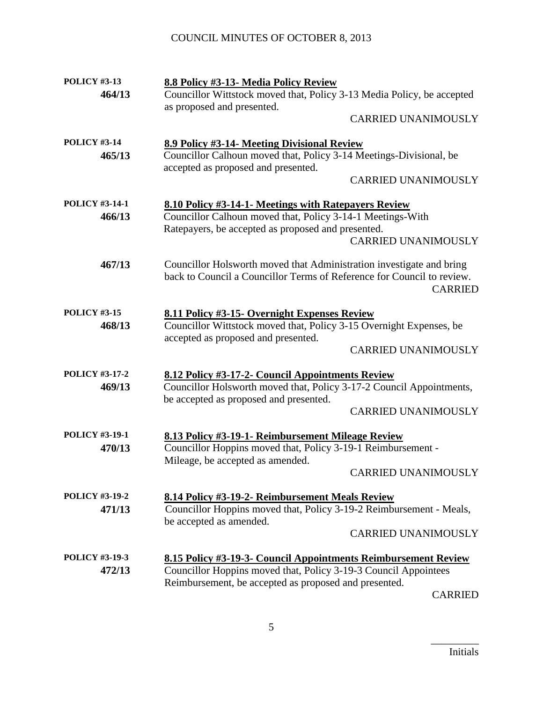| <b>POLICY #3-13</b>   | 8.8 Policy #3-13- Media Policy Review                                  |
|-----------------------|------------------------------------------------------------------------|
| 464/13                | Councillor Wittstock moved that, Policy 3-13 Media Policy, be accepted |
|                       | as proposed and presented.                                             |
|                       | <b>CARRIED UNANIMOUSLY</b>                                             |
| <b>POLICY #3-14</b>   | 8.9 Policy #3-14- Meeting Divisional Review                            |
| 465/13                | Councillor Calhoun moved that, Policy 3-14 Meetings-Divisional, be     |
|                       | accepted as proposed and presented.                                    |
|                       | <b>CARRIED UNANIMOUSLY</b>                                             |
| <b>POLICY #3-14-1</b> | 8.10 Policy #3-14-1- Meetings with Ratepayers Review                   |
| 466/13                | Councillor Calhoun moved that, Policy 3-14-1 Meetings-With             |
|                       | Ratepayers, be accepted as proposed and presented.                     |
|                       | <b>CARRIED UNANIMOUSLY</b>                                             |
| 467/13                | Councillor Holsworth moved that Administration investigate and bring   |
|                       | back to Council a Councillor Terms of Reference for Council to review. |
|                       | <b>CARRIED</b>                                                         |
| <b>POLICY #3-15</b>   | 8.11 Policy #3-15- Overnight Expenses Review                           |
| 468/13                | Councillor Wittstock moved that, Policy 3-15 Overnight Expenses, be    |
|                       | accepted as proposed and presented.                                    |
|                       | <b>CARRIED UNANIMOUSLY</b>                                             |
| <b>POLICY #3-17-2</b> | 8.12 Policy #3-17-2- Council Appointments Review                       |
| 469/13                | Councillor Holsworth moved that, Policy 3-17-2 Council Appointments,   |
|                       | be accepted as proposed and presented.                                 |
|                       | <b>CARRIED UNANIMOUSLY</b>                                             |
| <b>POLICY #3-19-1</b> | 8.13 Policy #3-19-1- Reimbursement Mileage Review                      |
| 470/13                | Councillor Hoppins moved that, Policy 3-19-1 Reimbursement -           |
|                       | Mileage, be accepted as amended.                                       |
|                       | <b>CARRIED UNANIMOUSLY</b>                                             |
| <b>POLICY #3-19-2</b> | 8.14 Policy #3-19-2- Reimbursement Meals Review                        |
| 471/13                | Councillor Hoppins moved that, Policy 3-19-2 Reimbursement - Meals,    |
|                       | be accepted as amended.                                                |
|                       | <b>CARRIED UNANIMOUSLY</b>                                             |
| <b>POLICY #3-19-3</b> | 8.15 Policy #3-19-3- Council Appointments Reimbursement Review         |
| 472/13                | Councillor Hoppins moved that, Policy 3-19-3 Council Appointees        |
|                       | Reimbursement, be accepted as proposed and presented.                  |

CARRIED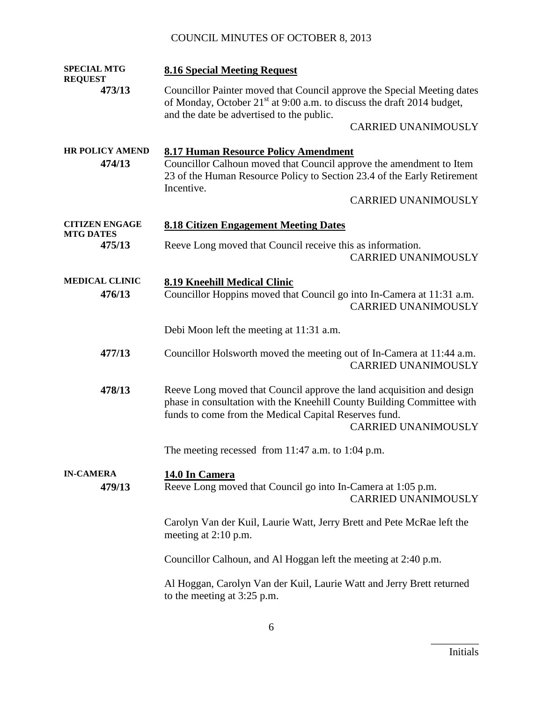| <b>SPECIAL MTG</b><br><b>REQUEST</b> | <b>8.16 Special Meeting Request</b>                                                                                                                                                                         |                            |
|--------------------------------------|-------------------------------------------------------------------------------------------------------------------------------------------------------------------------------------------------------------|----------------------------|
| 473/13                               | Councillor Painter moved that Council approve the Special Meeting dates<br>of Monday, October 21 <sup>st</sup> at 9:00 a.m. to discuss the draft 2014 budget,<br>and the date be advertised to the public.  |                            |
|                                      |                                                                                                                                                                                                             | <b>CARRIED UNANIMOUSLY</b> |
| <b>HR POLICY AMEND</b><br>474/13     | <b>8.17 Human Resource Policy Amendment</b><br>Councillor Calhoun moved that Council approve the amendment to Item<br>23 of the Human Resource Policy to Section 23.4 of the Early Retirement<br>Incentive. | <b>CARRIED UNANIMOUSLY</b> |
| <b>CITIZEN ENGAGE</b>                | <b>8.18 Citizen Engagement Meeting Dates</b>                                                                                                                                                                |                            |
| <b>MTG DATES</b><br>475/13           | Reeve Long moved that Council receive this as information.                                                                                                                                                  | <b>CARRIED UNANIMOUSLY</b> |
| <b>MEDICAL CLINIC</b><br>476/13      | <b>8.19 Kneehill Medical Clinic</b><br>Councillor Hoppins moved that Council go into In-Camera at 11:31 a.m.                                                                                                | <b>CARRIED UNANIMOUSLY</b> |
|                                      | Debi Moon left the meeting at 11:31 a.m.                                                                                                                                                                    |                            |
| 477/13                               | Councillor Holsworth moved the meeting out of In-Camera at 11:44 a.m.                                                                                                                                       | <b>CARRIED UNANIMOUSLY</b> |
| 478/13                               | Reeve Long moved that Council approve the land acquisition and design<br>phase in consultation with the Kneehill County Building Committee with<br>funds to come from the Medical Capital Reserves fund.    | <b>CARRIED UNANIMOUSLY</b> |
|                                      | The meeting recessed from 11:47 a.m. to 1:04 p.m.                                                                                                                                                           |                            |
| <b>IN-CAMERA</b><br>479/13           | 14.0 In Camera<br>Reeve Long moved that Council go into In-Camera at 1:05 p.m.                                                                                                                              | <b>CARRIED UNANIMOUSLY</b> |
|                                      | Carolyn Van der Kuil, Laurie Watt, Jerry Brett and Pete McRae left the<br>meeting at $2:10$ p.m.                                                                                                            |                            |
|                                      | Councillor Calhoun, and Al Hoggan left the meeting at 2:40 p.m.                                                                                                                                             |                            |
|                                      | Al Hoggan, Carolyn Van der Kuil, Laurie Watt and Jerry Brett returned<br>to the meeting at 3:25 p.m.                                                                                                        |                            |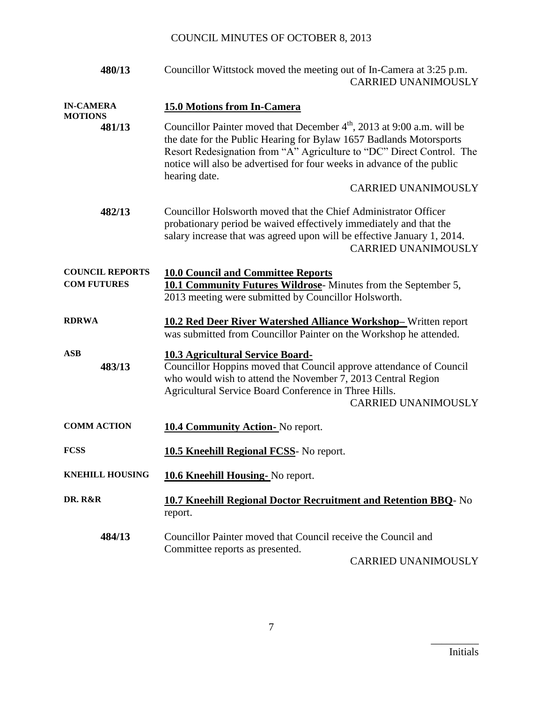| 480/13                                       | Councillor Wittstock moved the meeting out of In-Camera at 3:25 p.m.<br><b>CARRIED UNANIMOUSLY</b>                                                                                                                                                                                                                            |  |
|----------------------------------------------|-------------------------------------------------------------------------------------------------------------------------------------------------------------------------------------------------------------------------------------------------------------------------------------------------------------------------------|--|
| <b>IN-CAMERA</b>                             | <b>15.0 Motions from In-Camera</b>                                                                                                                                                                                                                                                                                            |  |
| <b>MOTIONS</b><br>481/13                     | Councillor Painter moved that December 4 <sup>th</sup> , 2013 at 9:00 a.m. will be<br>the date for the Public Hearing for Bylaw 1657 Badlands Motorsports<br>Resort Redesignation from "A" Agriculture to "DC" Direct Control. The<br>notice will also be advertised for four weeks in advance of the public<br>hearing date. |  |
|                                              | <b>CARRIED UNANIMOUSLY</b>                                                                                                                                                                                                                                                                                                    |  |
| 482/13                                       | Councillor Holsworth moved that the Chief Administrator Officer<br>probationary period be waived effectively immediately and that the<br>salary increase that was agreed upon will be effective January 1, 2014.<br><b>CARRIED UNANIMOUSLY</b>                                                                                |  |
| <b>COUNCIL REPORTS</b><br><b>COM FUTURES</b> | <b>10.0 Council and Committee Reports</b><br><b>10.1 Community Futures Wildrose</b> -Minutes from the September 5,<br>2013 meeting were submitted by Councillor Holsworth.                                                                                                                                                    |  |
| <b>RDRWA</b>                                 | <b>10.2 Red Deer River Watershed Alliance Workshop-Written report</b><br>was submitted from Councillor Painter on the Workshop he attended.                                                                                                                                                                                   |  |
| <b>ASB</b><br>483/13                         | <b>10.3 Agricultural Service Board-</b><br>Councillor Hoppins moved that Council approve attendance of Council<br>who would wish to attend the November 7, 2013 Central Region<br>Agricultural Service Board Conference in Three Hills.<br><b>CARRIED UNANIMOUSLY</b>                                                         |  |
| <b>COMM ACTION</b>                           | <b>10.4 Community Action-</b> No report.                                                                                                                                                                                                                                                                                      |  |
| <b>FCSS</b>                                  | <b>10.5 Kneehill Regional FCSS-</b> No report.                                                                                                                                                                                                                                                                                |  |
| <b>KNEHILL HOUSING</b>                       | 10.6 Kneehill Housing- No report.                                                                                                                                                                                                                                                                                             |  |
| DR. R&R                                      | <b>10.7 Kneehill Regional Doctor Recruitment and Retention BBQ- No</b><br>report.                                                                                                                                                                                                                                             |  |
| 484/13                                       | Councillor Painter moved that Council receive the Council and<br>Committee reports as presented.<br><b>CARRIED UNANIMOUSLY</b>                                                                                                                                                                                                |  |
|                                              |                                                                                                                                                                                                                                                                                                                               |  |